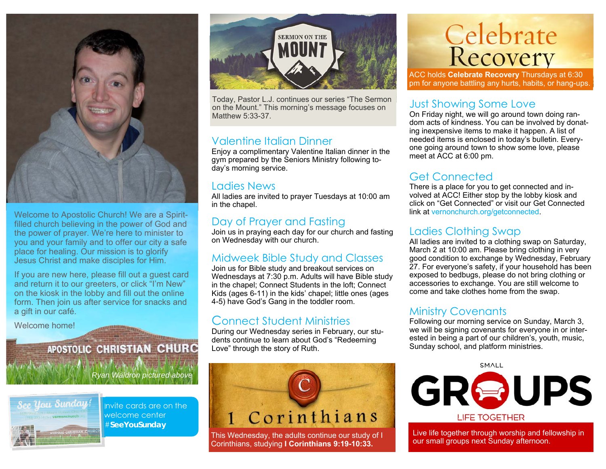

Welcome to Apostolic Church! We are a Spiritfilled church believing in the power of God and the power of prayer. We're here to minister to you and your family and to offer our city a safe place for healing. Our mission is to glorify Jesus Christ and make disciples for Him.

If you are new here, please fill out a guest card and return it to our greeters, or click "I'm New" on the kiosk in the lobby and fill out the online form. Then join us after service for snacks and a gift in our café.

Welcome home!

# APOSTOLIC CHRISTIAN CHURC

*Ryan Waldron pictured above* 



Invite cards are on the welcome center #**SeeYouSunday** 



Today, Pastor L.J. continues our series "The Sermon on the Mount." This morning's message focuses on Matthew 5:33-37.

#### Valentine Italian Dinner

 Enjoy a complimentary Valentine Italian dinner in the gym prepared by the Seniors Ministry following today's morning service.

#### Ladies News

All ladies are invited to prayer Tuesdays at 10:00 am in the chapel.

#### Day of Prayer and Fasting

Join us in praying each day for our church and fasting on Wednesday with our church.

#### Midweek Bible Study and Classes

Join us for Bible study and breakout services on Wednesdays at 7:30 p.m. Adults will have Bible study in the chapel; Connect Students in the loft; Connect Kids (ages 6-11) in the kids' chapel; little ones (ages 4-5) have God's Gang in the toddler room.

## Connect Student Ministries

During our Wednesday series in February, our students continue to learn about God's "Redeeming Love" through the story of Ruth.



This Wednesday, the adults continue our study of I Corinthians, studying **I Corinthians 9:19-10:33.**

# **Celebrate**<br>Recovery

ACC holds **Celebrate Recovery** Thursdays at 6:30 pm for anyone battling any hurts, habits, or hang-ups.

#### Just Showing Some Love

On Friday night, we will go around town doing random acts of kindness. You can be involved by donating inexpensive items to make it happen. A list of needed items is enclosed in today's bulletin. Everyone going around town to show some love, please meet at ACC at 6:00 pm.

### Get Connected

There is a place for you to get connected and involved at ACC! Either stop by the lobby kiosk and click on "Get Connected" or visit our Get Connected link at vernonchurch.org/getconnected.

#### Ladies Clothing Swap

All ladies are invited to a clothing swap on Saturday. March 2 at 10:00 am. Please bring clothing in very good condition to exchange by Wednesday, February 27. For everyone's safety, if your household has been exposed to bedbugs, please do not bring clothing or accessories to exchange. You are still welcome to come and take clothes home from the swap.

#### Ministry Covenants

Following our morning service on Sunday, March 3, we will be signing covenants for everyone in or interested in being a part of our children's, youth, music, Sunday school, and platform ministries.

**SMALL** 



Live life together through worship and fellowship in our small groups next Sunday afternoon.